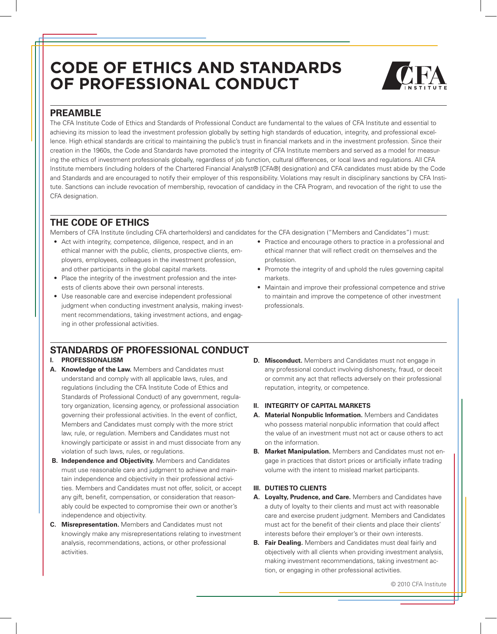# **Code of Ethics And Standards of Professional Conduct**



# **Preamble**

The CFA Institute Code of Ethics and Standards of Professional Conduct are fundamental to the values of CFA Institute and essential to achieving its mission to lead the investment profession globally by setting high standards of education, integrity, and professional excellence. High ethical standards are critical to maintaining the public's trust in financial markets and in the investment profession. Since their creation in the 1960s, the Code and Standards have promoted the integrity of CFA Institute members and served as a model for measuring the ethics of investment professionals globally, regardless of job function, cultural differences, or local laws and regulations. All CFA Institute members (including holders of the Chartered Financial Analyst® [CFA®] designation) and CFA candidates must abide by the Code and Standards and are encouraged to notify their employer of this responsibility. Violations may result in disciplinary sanctions by CFA Institute. Sanctions can include revocation of membership, revocation of candidacy in the CFA Program, and revocation of the right to use the CFA designation.

# **The Code of Ethics**

Members of CFA Institute (including CFA charterholders) and candidates for the CFA designation ("Members and Candidates") must:

- Act with integrity, competence, diligence, respect, and in an ethical manner with the public, clients, prospective clients, employers, employees, colleagues in the investment profession, and other participants in the global capital markets.
- Place the integrity of the investment profession and the interests of clients above their own personal interests.
- Use reasonable care and exercise independent professional judgment when conducting investment analysis, making investment recommendations, taking investment actions, and engaging in other professional activities.
- Practice and encourage others to practice in a professional and ethical manner that will reflect credit on themselves and the profession.
- Promote the integrity of and uphold the rules governing capital markets.
- Maintain and improve their professional competence and strive to maintain and improve the competence of other investment professionals.

# **Standards of Professional Conduct**

## **I. PROFESSIONALISM**

- **A. Knowledge of the Law.** Members and Candidates must understand and comply with all applicable laws, rules, and regulations (including the CFA Institute Code of Ethics and Standards of Professional Conduct) of any government, regulatory organization, licensing agency, or professional association governing their professional activities. In the event of conflict, Members and Candidates must comply with the more strict law, rule, or regulation. Members and Candidates must not knowingly participate or assist in and must dissociate from any violation of such laws, rules, or regulations.
- **B. Independence and Objectivity.** Members and Candidates must use reasonable care and judgment to achieve and maintain independence and objectivity in their professional activities. Members and Candidates must not offer, solicit, or accept any gift, benefit, compensation, or consideration that reasonably could be expected to compromise their own or another's independence and objectivity.
- **C. Misrepresentation.** Members and Candidates must not knowingly make any misrepresentations relating to investment analysis, recommendations, actions, or other professional activities.

**D.** Misconduct. Members and Candidates must not engage in any professional conduct involving dishonesty, fraud, or deceit or commit any act that reflects adversely on their professional reputation, integrity, or competence.

### **II. INTEGRITY OF CAPITAL MARKETS**

- **A. Material Nonpublic Information.** Members and Candidates who possess material nonpublic information that could affect the value of an investment must not act or cause others to act on the information.
- **B. Market Manipulation.** Members and Candidates must not engage in practices that distort prices or artificially inflate trading volume with the intent to mislead market participants.

## **III. DUTIES TO CLIENTS**

- **A. Loyalty, Prudence, and Care.** Members and Candidates have a duty of loyalty to their clients and must act with reasonable care and exercise prudent judgment. Members and Candidates must act for the benefit of their clients and place their clients' interests before their employer's or their own interests.
- **B. Fair Dealing.** Members and Candidates must deal fairly and objectively with all clients when providing investment analysis, making investment recommendations, taking investment action, or engaging in other professional activities.